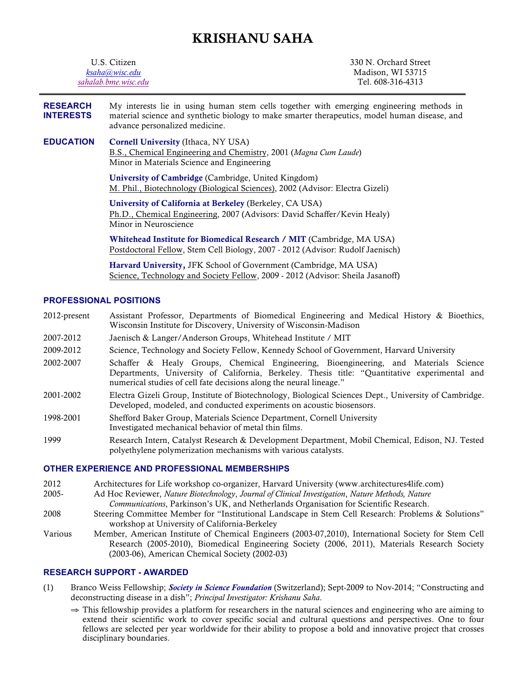# KRISHANU SAHA

| U.S. Citizen<br>ksaha@wisc.edu<br>sahalab.bme.wisc.edu |                                                                                                                                                                                                                             | 330 N. Orchard Street<br>Madison, WI 53715<br>Tel. 608-316-4313 |
|--------------------------------------------------------|-----------------------------------------------------------------------------------------------------------------------------------------------------------------------------------------------------------------------------|-----------------------------------------------------------------|
| <b>RESEARCH</b><br><b>INTERESTS</b>                    | My interests lie in using human stem cells together with emerging engineering methods in<br>material science and synthetic biology to make smarter therapeutics, model human disease, and<br>advance personalized medicine. |                                                                 |
| <b>EDUCATION</b>                                       | <b>Cornell University (Ithaca, NY USA)</b><br>B.S., Chemical Engineering and Chemistry, 2001 (Magna Cum Laude)<br>Minor in Materials Science and Engineering                                                                |                                                                 |
|                                                        | University of Cambridge (Cambridge, United Kingdom)<br>M. Phil., Biotechnology (Biological Sciences), 2002 (Advisor: Electra Gizeli)                                                                                        |                                                                 |
|                                                        | University of California at Berkeley (Berkeley, CA USA)<br>Ph.D., Chemical Engineering, 2007 (Advisors: David Schaffer/Kevin Healy)<br>Minor in Neuroscience                                                                |                                                                 |
|                                                        | Whitehead Institute for Biomedical Research / MIT (Cambridge, MA USA)<br>Postdoctoral Fellow, Stem Cell Biology, 2007 - 2012 (Advisor: Rudolf Jaenisch)                                                                     |                                                                 |
|                                                        | Harvard University, JFK School of Government (Cambridge, MA USA)<br>Science, Technology and Society Fellow, 2009 - 2012 (Advisor: Sheila Jasanoff)                                                                          |                                                                 |
|                                                        |                                                                                                                                                                                                                             |                                                                 |

#### **PROFESSIONAL POSITIONS**

2012-present Assistant Professor, Departments of Biomedical Engineering and Medical History & Bioethics, Wisconsin Institute for Discovery, University of Wisconsin-Madison

- 2007-2012 Jaenisch & Langer/Anderson Groups, Whitehead Institute / MIT
- 2009-2012 Science, Technology and Society Fellow, Kennedy School of Government, Harvard University
- 2002-2007 Schaffer & Healy Groups, Chemical Engineering, Bioengineering, and Materials Science Departments, University of California, Berkeley. Thesis title: "Quantitative experimental and numerical studies of cell fate decisions along the neural lineage."
- 2001-2002 Electra Gizeli Group, Institute of Biotechnology, Biological Sciences Dept., University of Cambridge. Developed, modeled, and conducted experiments on acoustic biosensors.
- 1998-2001 Shefford Baker Group, Materials Science Department, Cornell University Investigated mechanical behavior of metal thin films.
- 1999 Research Intern, Catalyst Research & Development Department, Mobil Chemical, Edison, NJ. Tested polyethylene polymerization mechanisms with various catalysts.

#### **OTHER EXPERIENCE AND PROFESSIONAL MEMBERSHIPS**

- 2012 Architectures for Life workshop co-organizer, Harvard University (www.architectures4life.com)
- 2005- Ad Hoc Reviewer, *Nature Biotechnology*, *Journal of Clinical Investigation*, *Nature Methods, Nature*

*Communications*, Parkinson's UK, and Netherlands Organisation for Scientific Research.

- 2008 Steering Committee Member for "Institutional Landscape in Stem Cell Research: Problems & Solutions" workshop at University of California-Berkeley
- Various Member, American Institute of Chemical Engineers (2003-07,2010), International Society for Stem Cell Research (2005-2010), Biomedical Engineering Society (2006, 2011), Materials Research Society (2003-06), American Chemical Society (2002-03)

## **RESEARCH SUPPORT - AWARDED**

- (1) Branco Weiss Fellowship; *Society in Science Foundation* (Switzerland); Sept-2009 to Nov-2014; "Constructing and deconstructing disease in a dish"; *Principal Investigator: Krishanu Saha*.
	- ⇒ This fellowship provides a platform for researchers in the natural sciences and engineering who are aiming to extend their scientific work to cover specific social and cultural questions and perspectives. One to four fellows are selected per year worldwide for their ability to propose a bold and innovative project that crosses disciplinary boundaries.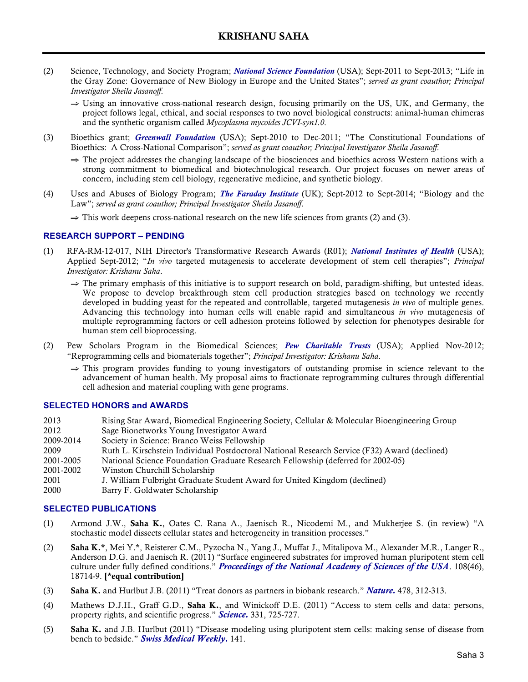- (2) Science, Technology, and Society Program; *National Science Foundation* (USA); Sept-2011 to Sept-2013; "Life in the Gray Zone: Governance of New Biology in Europe and the United States"; *served as grant coauthor; Principal Investigator Sheila Jasanoff*.
	- ⇒ Using an innovative cross-national research design, focusing primarily on the US, UK, and Germany, the project follows legal, ethical, and social responses to two novel biological constructs: animal-human chimeras and the synthetic organism called *Mycoplasma mycoides JCVI-syn1.0*.
- (3) Bioethics grant; *Greenwall Foundation* (USA); Sept-2010 to Dec-2011; "The Constitutional Foundations of Bioethics: A Cross-National Comparison"; *served as grant coauthor; Principal Investigator Sheila Jasanoff*.
	- ⇒ The project addresses the changing landscape of the biosciences and bioethics across Western nations with a strong commitment to biomedical and biotechnological research. Our project focuses on newer areas of concern, including stem cell biology, regenerative medicine, and synthetic biology.
- (4) Uses and Abuses of Biology Program; *The Faraday Institute* (UK); Sept-2012 to Sept-2014; "Biology and the Law"; *served as grant coauthor; Principal Investigator Sheila Jasanoff*.

 $\Rightarrow$  This work deepens cross-national research on the new life sciences from grants (2) and (3).

#### **RESEARCH SUPPORT – PENDING**

- (1) RFA-RM-12-017, NIH Director's Transformative Research Awards (R01); *National Institutes of Health* (USA); Applied Sept-2012; "*In vivo* targeted mutagenesis to accelerate development of stem cell therapies"; *Principal Investigator: Krishanu Saha*.
	- ⇒ The primary emphasis of this initiative is to support research on bold, paradigm-shifting, but untested ideas. We propose to develop breakthrough stem cell production strategies based on technology we recently developed in budding yeast for the repeated and controllable, targeted mutagenesis *in vivo* of multiple genes. Advancing this technology into human cells will enable rapid and simultaneous *in vivo* mutagenesis of multiple reprogramming factors or cell adhesion proteins followed by selection for phenotypes desirable for human stem cell bioprocessing.
- (2) Pew Scholars Program in the Biomedical Sciences; *Pew Charitable Trusts* (USA); Applied Nov-2012; "Reprogramming cells and biomaterials together"; *Principal Investigator: Krishanu Saha*.
	- ⇒ This program provides funding to young investigators of outstanding promise in science relevant to the advancement of human health. My proposal aims to fractionate reprogramming cultures through differential cell adhesion and material coupling with gene programs.

#### **SELECTED HONORS and AWARDS**

- 2013 Rising Star Award, Biomedical Engineering Society, Cellular & Molecular Bioengineering Group 2012 Sage Bionetworks Young Investigator Award
- 2009-2014 Society in Science: Branco Weiss Fellowship
- 
- 2009 Ruth L. Kirschstein Individual Postdoctoral National Research Service (F32) Award (declined)<br>2001-2005 National Science Foundation Graduate Research Fellowship (deferred for 2002-05) 2001-2005 National Science Foundation Graduate Research Fellowship (deferred for 2002-05)
- 2001-2002 Winston Churchill Scholarship
- 2001 J. William Fulbright Graduate Student Award for United Kingdom (declined)
- 2000 Barry F. Goldwater Scholarship

#### **SELECTED PUBLICATIONS**

- (1) Armond J.W., Saha K., Oates C. Rana A., Jaenisch R., Nicodemi M., and Mukherjee S. (in review) "A stochastic model dissects cellular states and heterogeneity in transition processes."
- (2) Saha K.\*, Mei Y.\*, Reisterer C.M., Pyzocha N., Yang J., Muffat J., Mitalipova M., Alexander M.R., Langer R., Anderson D.G. and Jaenisch R. (2011) "Surface engineered substrates for improved human pluripotent stem cell culture under fully defined conditions." *Proceedings of the National Academy of Sciences of the USA*. 108(46), 18714-9. [\*equal contribution]
- (3) Saha K. and Hurlbut J.B. (2011) "Treat donors as partners in biobank research." *Nature.* 478, 312-313.
- (4) Mathews D.J.H., Graff G.D., Saha K., and Winickoff D.E. (2011) "Access to stem cells and data: persons, property rights, and scientific progress." *Science.* 331, 725-727.
- (5) Saha K. and J.B. Hurlbut (2011) "Disease modeling using pluripotent stem cells: making sense of disease from bench to bedside." *Swiss Medical Weekly.* 141.